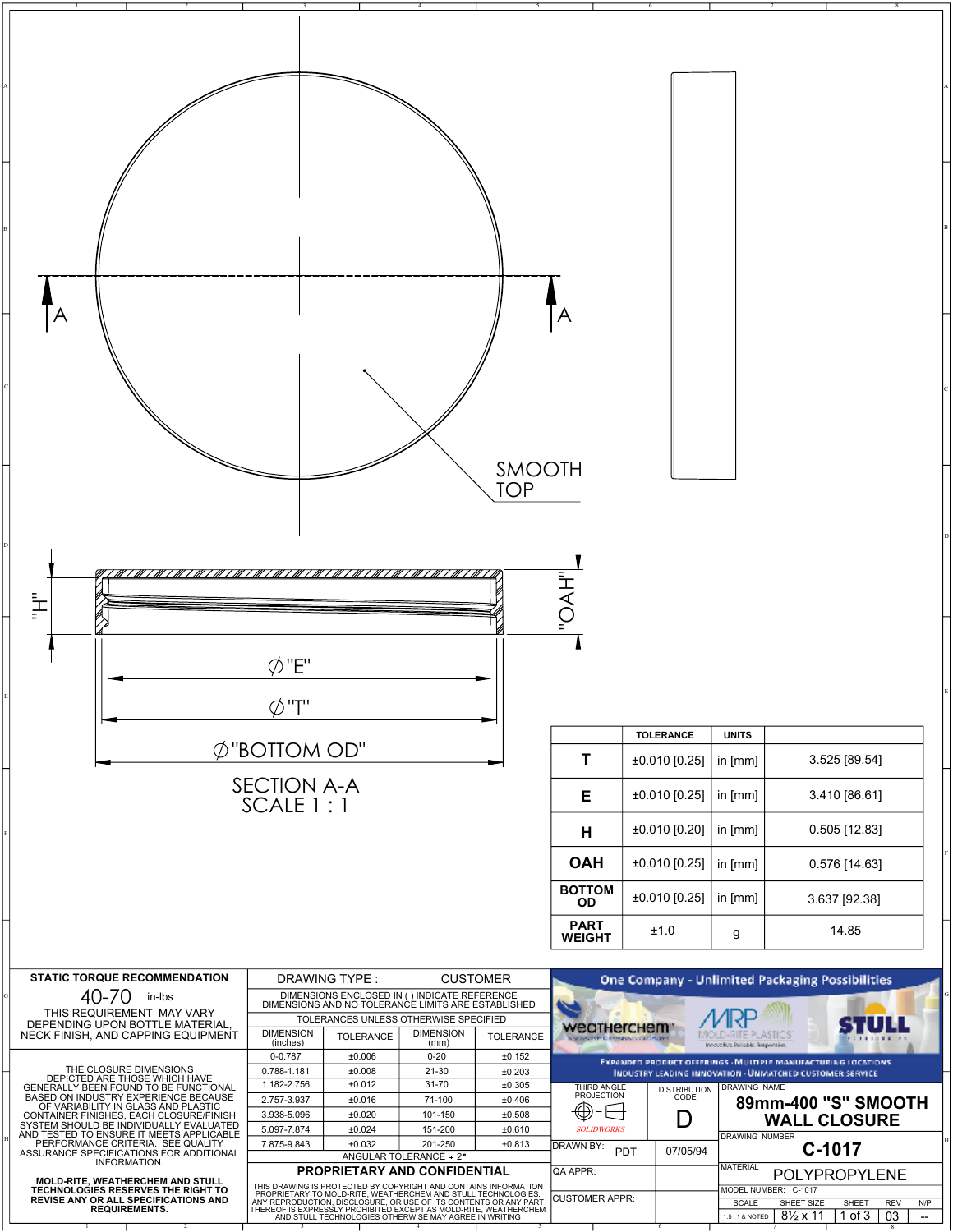| A                                                                                                                                                                                                                                                                     |                                                                                                                                                                                                                                                                |                              |                            | SMOOTH<br>TOP                                         |                                                                 |                                                       |                                                                                                             |                                                                                                                                                                                  |  |
|-----------------------------------------------------------------------------------------------------------------------------------------------------------------------------------------------------------------------------------------------------------------------|----------------------------------------------------------------------------------------------------------------------------------------------------------------------------------------------------------------------------------------------------------------|------------------------------|----------------------------|-------------------------------------------------------|-----------------------------------------------------------------|-------------------------------------------------------|-------------------------------------------------------------------------------------------------------------|----------------------------------------------------------------------------------------------------------------------------------------------------------------------------------|--|
| ŀ                                                                                                                                                                                                                                                                     | $\emptyset$ "E"<br>$\emptyset$ "T"                                                                                                                                                                                                                             |                              |                            |                                                       | —<br>∖<br>                                                      |                                                       |                                                                                                             |                                                                                                                                                                                  |  |
|                                                                                                                                                                                                                                                                       |                                                                                                                                                                                                                                                                |                              |                            |                                                       |                                                                 | <b>TOLERANCE</b>                                      | <b>UNITS</b>                                                                                                |                                                                                                                                                                                  |  |
|                                                                                                                                                                                                                                                                       | $\emptyset$ "BOTTOM OD"                                                                                                                                                                                                                                        |                              |                            |                                                       | $\mathbf T$                                                     | ±0.010 [0.25]                                         | in [mm]                                                                                                     | 3.525 [89.54]                                                                                                                                                                    |  |
|                                                                                                                                                                                                                                                                       | <b>SECTION A-A</b><br>SCALE 1:1                                                                                                                                                                                                                                |                              |                            |                                                       | Е                                                               | $±0.010$ [0.25]                                       | in [mm]                                                                                                     | 3.410 [86.61]                                                                                                                                                                    |  |
|                                                                                                                                                                                                                                                                       |                                                                                                                                                                                                                                                                |                              |                            |                                                       | Н                                                               | $±0.010$ [0.20]                                       | in [mm]                                                                                                     | $0.505$ [12.83]                                                                                                                                                                  |  |
|                                                                                                                                                                                                                                                                       |                                                                                                                                                                                                                                                                |                              |                            |                                                       | <b>OAH</b>                                                      | ±0.010 [0.25]                                         | in [mm]                                                                                                     | 0.576 [14.63]                                                                                                                                                                    |  |
|                                                                                                                                                                                                                                                                       |                                                                                                                                                                                                                                                                |                              |                            |                                                       | <b>BOTTOM</b><br><b>OD</b>                                      | ±0.010 [0.25]                                         | in $[mm]$                                                                                                   | 3.637 [92.38]                                                                                                                                                                    |  |
|                                                                                                                                                                                                                                                                       |                                                                                                                                                                                                                                                                |                              |                            |                                                       | <b>PART</b><br><b>WEIGHT</b>                                    | ±1.0                                                  | g                                                                                                           | 14.85                                                                                                                                                                            |  |
| <b>STATIC TORQUE RECOMMENDATION</b><br>40-70<br>in-Ibs<br>THIS REQUIREMENT MAY VARY<br>DEPENDING UPON BOTTLE MATERIAL,<br>NECK FINISH, AND CAPPING EQUIPMENT                                                                                                          | <b>CUSTOMER</b><br>DIMENSIONS ENCLOSED IN ( ) INDICATE REFERENCE<br>DIMENSIONS AND NO TOLERANCE LIMITS ARE ESTABLISHED<br>TOLERANCES UNLESS OTHERWISE SPECIFIED<br><b>TOLERANCE</b><br>±0.152                                                                  | weatherchem"                 | <b>HID BRANDONOS CONTA</b> | LD-RITE PLASTICS<br>Innovativa Pelizibis, Responsiva. | <b>One Company - Unlimited Packaging Possibilities</b>          |                                                       |                                                                                                             |                                                                                                                                                                                  |  |
| THE CLOSURE DIMENSIONS<br>DEPICTED ARE THOSE WHICH HAVE<br>GENERALLY BEEN FOUND TO BE FUNCTIONAL<br>BASED ON INDUSTRY EXPERIENCE BECAUSE<br>OF VARIABILITY IN GLASS AND PLASTIC<br>CONTAINER FINISHES, EACH CLOSURE/FINISH<br>SYSTEM SHOULD BE INDIVIDUALLY EVALUATED | $0 - 0.787$<br>±0.006<br>$0 - 20$<br>0.788-1.181<br>±0.008<br>$21 - 30$<br>1.182-2.756<br>±0.012<br>$31 - 70$<br>2.757-3.937<br>±0.016<br>71-100<br>3.938-5.096<br>±0.020<br>101-150                                                                           |                              |                            |                                                       | THIRD ANGLE<br><b>PROJECTION</b><br>⊕<br>ᄃ<br><b>SOLIDWORKS</b> | DISTRIBUTION<br>CODE<br>D                             | DRAWING NAME                                                                                                | EXPANDED PRODUCT OFFERINGS - MULTIPLE MANUFACTURING LOCATIONS.<br><b>INDUSTRY LEADING INNOVATION - UNIVATCHED CUSTOMER SERVICE</b><br>89mm-400 "S" SMOOTH<br><b>WALL CLOSURE</b> |  |
| AND TESTED TO ENSURE IT MEETS APPLICABLE<br>PERFORMANCE CRITERIA. SEE QUALITY<br>ASSURANCE SPECIFICATIONS FOR ADDITIONAL                                                                                                                                              | 5.097-7.874<br>±0.024<br>151-200<br>±0.610<br>7.875-9.843<br>±0.032<br>201-250<br>±0.813<br>ANGULAR TOLERANCE ± 2°                                                                                                                                             |                              |                            |                                                       | DRAWN BY:                                                       | PDT<br>07/05/94                                       | DRAWING NUMBER                                                                                              | C-1017                                                                                                                                                                           |  |
| INFORMATION.<br><b>MOLD-RITE, WEATHERCHEM AND STULL</b>                                                                                                                                                                                                               | THIS DRAWING IS PROTECTED BY COPYRIGHT AND CONTAINS INFORMATION                                                                                                                                                                                                | PROPRIETARY AND CONFIDENTIAL |                            |                                                       | QA APPR:                                                        |                                                       | <b>MATERIAL</b>                                                                                             | POLYPROPYLENE                                                                                                                                                                    |  |
| TECHNOLOGIES RESERVES THE RIGHT TO<br>REVISE ANY OR ALL SPECIFICATIONS AND<br><b>REQUIREMENTS.</b>                                                                                                                                                                    | PROPRIETARY TO MOLD-RITE, WEATHERCHEM AND STULL TECHNOLOGIES.<br>ANY REPRODUCTION, DISCLOSURE, OR USE OF ITS CONTENTS OR ANY PART<br>THEREOF IS EXPRESSLY PROHIBITED EXCEPT AS MOLD-RITE, WEATHERCHEM<br>AND STULL TECHNOLOGIES OTHERWISE MAY AGREE IN WRITING |                              |                            | <b>CUSTOMER APPR:</b>                                 |                                                                 | MODEL NUMBER: C-1017<br><b>SCALE</b><br>1.5:1 & NOTED | SHEET SIZE<br>SHEET<br><b>REV</b><br>N/P<br>$8\frac{1}{2}$ x 11<br>1 of 3<br>03<br>$\overline{\phantom{a}}$ |                                                                                                                                                                                  |  |

C

D

E

H

G

F

A

B

1 2 3 4 5 6 7 8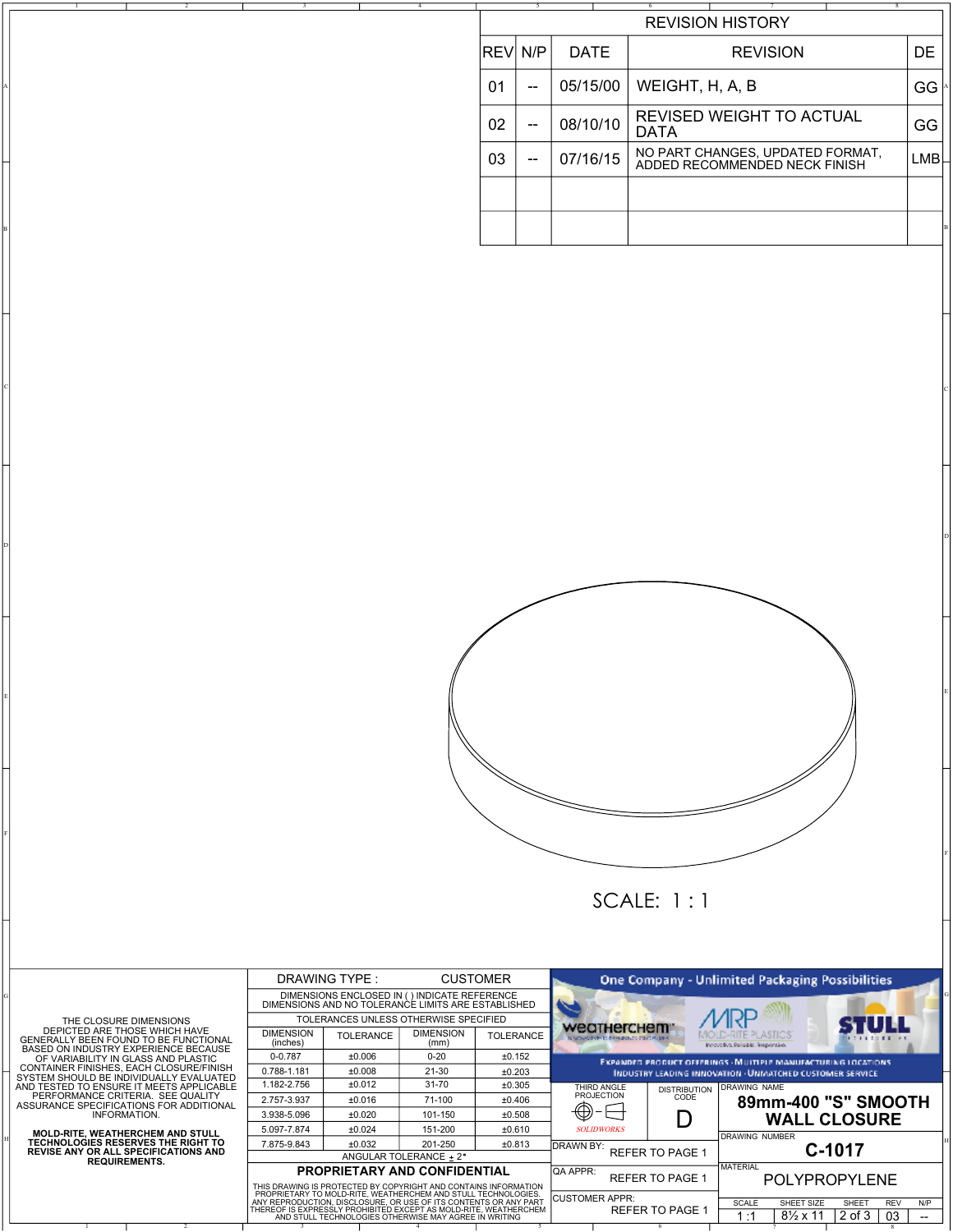|  |                         |           | 5   |             |  | ъ.                                                                |                 |  |  |           |                  |
|--|-------------------------|-----------|-----|-------------|--|-------------------------------------------------------------------|-----------------|--|--|-----------|------------------|
|  | <b>REVISION HISTORY</b> |           |     |             |  |                                                                   |                 |  |  |           |                  |
|  |                         | IREVI N/P |     | <b>DATE</b> |  |                                                                   | <b>REVISION</b> |  |  | <b>DE</b> |                  |
|  |                         | 01        | $-$ | 05/15/00    |  | WEIGHT, H, A, B                                                   |                 |  |  |           | GG               |
|  |                         | 02        | $-$ | 08/10/10    |  | REVISED WEIGHT TO ACTUAL<br><b>DATA</b>                           |                 |  |  |           | GG               |
|  |                         | 03        | $-$ | 07/16/15    |  | NO PART CHANGES, UPDATED FORMAT,<br>ADDED RECOMMENDED NECK FINISH |                 |  |  |           | LMB <sup>L</sup> |
|  |                         |           |     |             |  |                                                                   |                 |  |  |           |                  |
|  |                         |           |     |             |  |                                                                   |                 |  |  |           |                  |

C

D

E

F



SCALE: 1 : 1

THE CLOSURE DIMENSIONS<br>
DEPICTED ARE THOSE WHICH HAVE<br>
GENERALLY BEEN FOUND TO BE FUNCTIONAL<br>
BASED ON INDUSTRY EXPERIENCE BECAUSE<br>
OF VARIABILITY IN GLASS AND PLASTIC<br>
CONTAINER FINISHES, EACH CLOSURE/FINISH<br>
SYSTEM SHOUL

C

B

A

1 2

D

E

F

G

H

**MOLD-RITE, WEATHERCHEM AND STULL TECHNOLOGIES RESERVES THE RIGHT TO REVISE ANY OR ALL SPECIFICATIONS AND REQUIREMENTS.**

|  | DRAWING TYPE:<br><b>CUSTOMER</b>                                                                                                                                                                                                                               |                                                                                                     |                                                        |                  |                                                                     |                        |                                                                                                                                          |  |  |  |  |
|--|----------------------------------------------------------------------------------------------------------------------------------------------------------------------------------------------------------------------------------------------------------------|-----------------------------------------------------------------------------------------------------|--------------------------------------------------------|------------------|---------------------------------------------------------------------|------------------------|------------------------------------------------------------------------------------------------------------------------------------------|--|--|--|--|
|  |                                                                                                                                                                                                                                                                |                                                                                                     | <b>One Company - Unlimited Packaging Possibilities</b> |                  |                                                                     |                        |                                                                                                                                          |  |  |  |  |
|  |                                                                                                                                                                                                                                                                | DIMENSIONS ENCLOSED IN ( ) INDICATE REFERENCE<br>DIMENSIONS AND NO TOLERANCE LIMITS ARE ESTABLISHED |                                                        |                  |                                                                     |                        |                                                                                                                                          |  |  |  |  |
|  |                                                                                                                                                                                                                                                                | TOLERANCES UNLESS OTHERWISE SPECIFIED                                                               |                                                        |                  |                                                                     |                        |                                                                                                                                          |  |  |  |  |
|  | <b>DIMENSION</b><br>(inches)                                                                                                                                                                                                                                   | <b>TOLERANCE</b>                                                                                    | <b>DIMENSION</b><br>(mm)                               | <b>TOLERANCE</b> | weatherchem<br>NAMES OF THE REPORTED HER PARTIES.                   |                        | MOLD-RITE PLASTICS<br>Innovativa Pelizibia, Rosponsiva,                                                                                  |  |  |  |  |
|  | $0 - 0.787$                                                                                                                                                                                                                                                    | $+0.006$                                                                                            | $0 - 20$                                               | ±0.152           |                                                                     |                        | <b>EXPANDED PRODUCT OFFERINGS - MULTIPLE MANUFACTURING LOCATIONS</b><br><b>INDUSTRY LEADING INNOVATION - UNIVATCHED CUSTOMER SERVICE</b> |  |  |  |  |
|  | 0.788-1.181                                                                                                                                                                                                                                                    | ±0.008                                                                                              | $21 - 30$                                              | ±0.203           |                                                                     |                        |                                                                                                                                          |  |  |  |  |
|  | 1.182-2.756                                                                                                                                                                                                                                                    | ±0.012                                                                                              | $31 - 70$                                              | ±0.305           | THIRD ANGLE                                                         | <b>DISTRIBUTION</b>    | DRAWING NAME                                                                                                                             |  |  |  |  |
|  | 2.757-3.937                                                                                                                                                                                                                                                    | ±0.016                                                                                              | 71-100                                                 | ±0.406           | <b>PROJECTION</b>                                                   | CODE                   | 89mm-400 "S" SMOOTH                                                                                                                      |  |  |  |  |
|  | 3.938-5.096                                                                                                                                                                                                                                                    | ±0.020                                                                                              | 101-150                                                | ±0.508           |                                                                     |                        | <b>WALL CLOSURE</b>                                                                                                                      |  |  |  |  |
|  | 5.097-7.874                                                                                                                                                                                                                                                    | ±0.024                                                                                              | 151-200                                                | ±0.610           | <b>SOLIDWORKS</b>                                                   |                        | <b>DRAWING NUMBER</b>                                                                                                                    |  |  |  |  |
|  | 7.875-9.843                                                                                                                                                                                                                                                    | ±0.032                                                                                              | 201-250                                                | ±0.813           | IDRAWN BY:                                                          |                        | C-1017                                                                                                                                   |  |  |  |  |
|  |                                                                                                                                                                                                                                                                |                                                                                                     | ANGULAR TOLERANCE + 2°                                 |                  | <b>REFER TO PAGE 1</b>                                              |                        |                                                                                                                                          |  |  |  |  |
|  | <b>PROPRIETARY AND CONFIDENTIAL</b><br>THIS DRAWING IS PROTECTED BY COPYRIGHT AND CONTAINS INFORMATION                                                                                                                                                         |                                                                                                     |                                                        |                  | <b>QA APPR:</b>                                                     | <b>REFER TO PAGE 1</b> | <b>MATERIAL</b><br>POLYPROPYLENE                                                                                                         |  |  |  |  |
|  | PROPRIETARY TO MOLD-RITE, WEATHERCHEM AND STULL TECHNOLOGIES.<br>ANY REPRODUCTION, DISCLOSURE, OR USE OF ITS CONTENTS OR ANY PART<br>THEREOF IS EXPRESSLY PROHIBITED EXCEPT AS MOLD-RITE, WEATHERCHEM<br>AND STULL TECHNOLOGIES OTHERWISE MAY AGREE IN WRITING |                                                                                                     |                                                        |                  | <b>CUSTOMER APPR:</b><br>SCALE<br>SHEET SIZE<br>SHEET<br><b>REV</b> |                        |                                                                                                                                          |  |  |  |  |
|  |                                                                                                                                                                                                                                                                |                                                                                                     |                                                        |                  |                                                                     | <b>REFER TO PAGE 1</b> | $8\frac{1}{2}$ x 11<br>2 of 3<br>03<br>1 :1<br>--                                                                                        |  |  |  |  |

 $\begin{array}{ccccccccccccccccccccc}\n1 & 1 & 2 & 1 & 3 & 1 & 4 & 1 & 5 & 1 & 6 & 7 & 1 & 8\n\end{array}$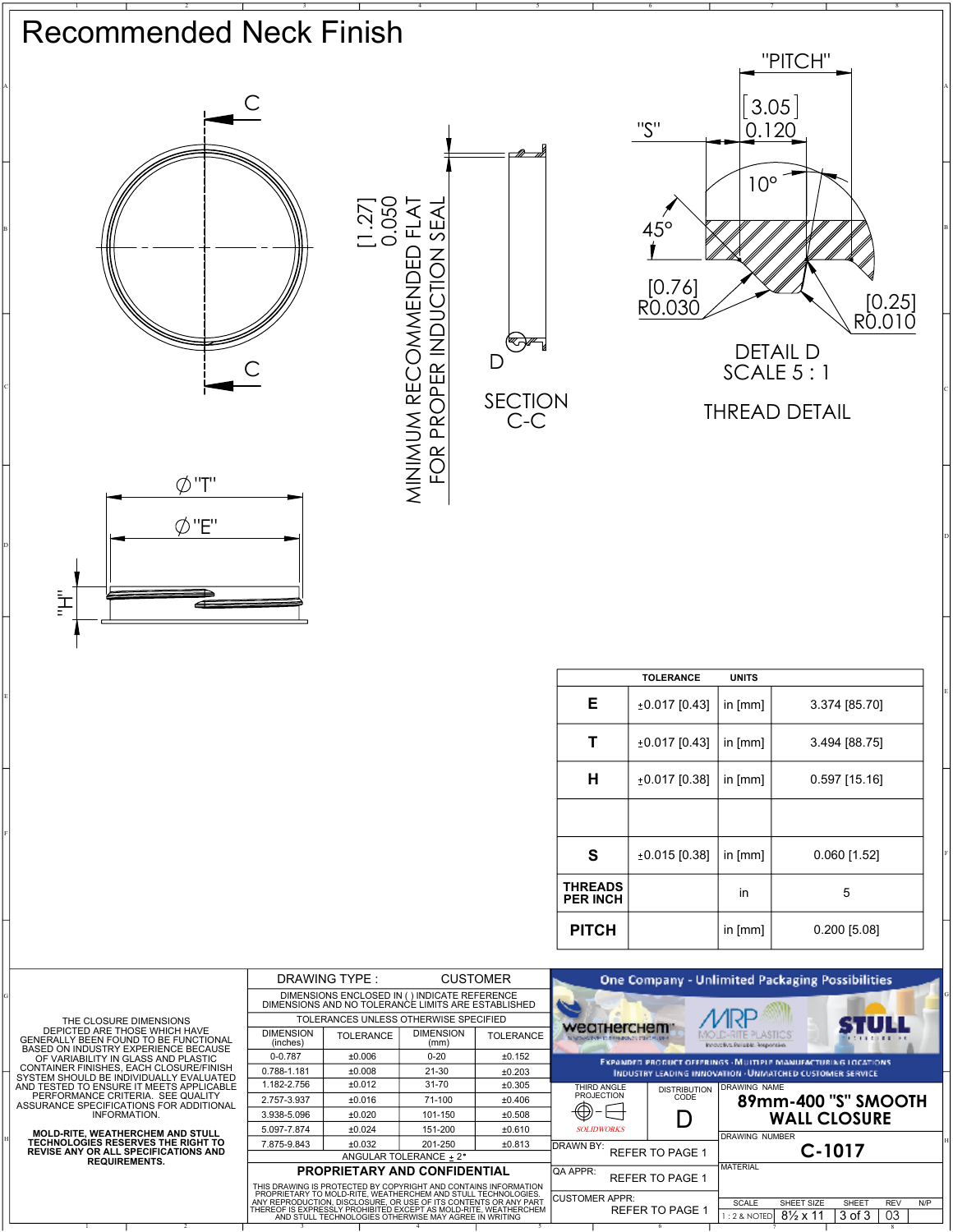